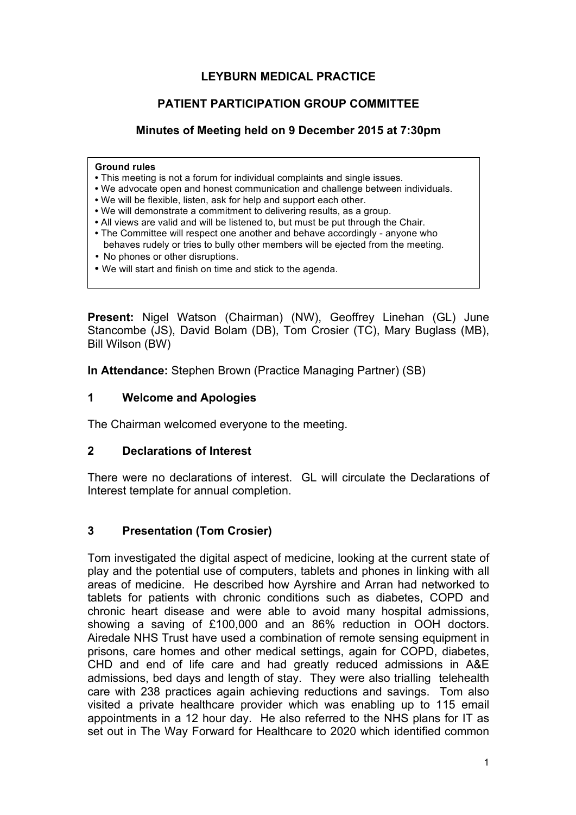## **LEYBURN MEDICAL PRACTICE**

#### **PATIENT PARTICIPATION GROUP COMMITTEE**

#### **Minutes of Meeting held on 9 December 2015 at 7:30pm**

#### **Ground rules**

- This meeting is not a forum for individual complaints and single issues.
- We advocate open and honest communication and challenge between individuals.
- We will be flexible, listen, ask for help and support each other.
- We will demonstrate a commitment to delivering results, as a group.
- All views are valid and will be listened to, but must be put through the Chair.
- The Committee will respect one another and behave accordingly anyone who behaves rudely or tries to bully other members will be ejected from the meeting.
- No phones or other disruptions.
- We will start and finish on time and stick to the agenda.

**Present:** Nigel Watson (Chairman) (NW), Geoffrey Linehan (GL) June Stancombe (JS), David Bolam (DB), Tom Crosier (TC), Mary Buglass (MB), Bill Wilson (BW)

**In Attendance:** Stephen Brown (Practice Managing Partner) (SB)

#### **1 Welcome and Apologies**

The Chairman welcomed everyone to the meeting.

#### **2 Declarations of Interest**

There were no declarations of interest. GL will circulate the Declarations of Interest template for annual completion.

## **3 Presentation (Tom Crosier)**

Tom investigated the digital aspect of medicine, looking at the current state of play and the potential use of computers, tablets and phones in linking with all areas of medicine. He described how Ayrshire and Arran had networked to tablets for patients with chronic conditions such as diabetes, COPD and chronic heart disease and were able to avoid many hospital admissions, showing a saving of £100,000 and an 86% reduction in OOH doctors. Airedale NHS Trust have used a combination of remote sensing equipment in prisons, care homes and other medical settings, again for COPD, diabetes, CHD and end of life care and had greatly reduced admissions in A&E admissions, bed days and length of stay. They were also trialling telehealth care with 238 practices again achieving reductions and savings. Tom also visited a private healthcare provider which was enabling up to 115 email appointments in a 12 hour day. He also referred to the NHS plans for IT as set out in The Way Forward for Healthcare to 2020 which identified common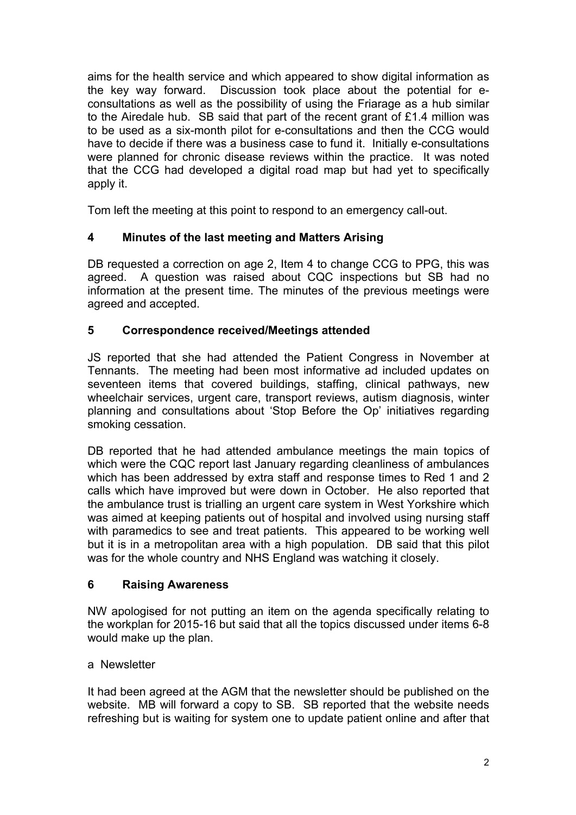aims for the health service and which appeared to show digital information as the key way forward. Discussion took place about the potential for econsultations as well as the possibility of using the Friarage as a hub similar to the Airedale hub. SB said that part of the recent grant of £1.4 million was to be used as a six-month pilot for e-consultations and then the CCG would have to decide if there was a business case to fund it. Initially e-consultations were planned for chronic disease reviews within the practice. It was noted that the CCG had developed a digital road map but had yet to specifically apply it.

Tom left the meeting at this point to respond to an emergency call-out.

## **4 Minutes of the last meeting and Matters Arising**

DB requested a correction on age 2, Item 4 to change CCG to PPG, this was agreed. A question was raised about CQC inspections but SB had no information at the present time. The minutes of the previous meetings were agreed and accepted.

## **5 Correspondence received/Meetings attended**

JS reported that she had attended the Patient Congress in November at Tennants. The meeting had been most informative ad included updates on seventeen items that covered buildings, staffing, clinical pathways, new wheelchair services, urgent care, transport reviews, autism diagnosis, winter planning and consultations about 'Stop Before the Op' initiatives regarding smoking cessation.

DB reported that he had attended ambulance meetings the main topics of which were the CQC report last January regarding cleanliness of ambulances which has been addressed by extra staff and response times to Red 1 and 2 calls which have improved but were down in October. He also reported that the ambulance trust is trialling an urgent care system in West Yorkshire which was aimed at keeping patients out of hospital and involved using nursing staff with paramedics to see and treat patients. This appeared to be working well but it is in a metropolitan area with a high population. DB said that this pilot was for the whole country and NHS England was watching it closely.

## **6 Raising Awareness**

NW apologised for not putting an item on the agenda specifically relating to the workplan for 2015-16 but said that all the topics discussed under items 6-8 would make up the plan.

## a Newsletter

It had been agreed at the AGM that the newsletter should be published on the website. MB will forward a copy to SB. SB reported that the website needs refreshing but is waiting for system one to update patient online and after that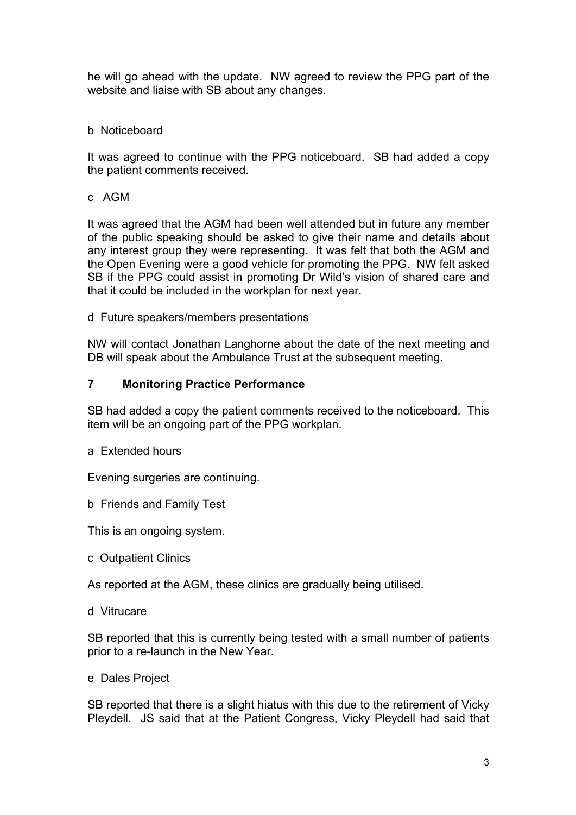he will go ahead with the update. NW agreed to review the PPG part of the website and liaise with SB about any changes.

#### b Noticeboard

It was agreed to continue with the PPG noticeboard. SB had added a copy the patient comments received.

c AGM

It was agreed that the AGM had been well attended but in future any member of the public speaking should be asked to give their name and details about any interest group they were representing. It was felt that both the AGM and the Open Evening were a good vehicle for promoting the PPG. NW felt asked SB if the PPG could assist in promoting Dr Wild's vision of shared care and that it could be included in the workplan for next year.

d Future speakers/members presentations

NW will contact Jonathan Langhorne about the date of the next meeting and DB will speak about the Ambulance Trust at the subsequent meeting.

#### **7 Monitoring Practice Performance**

SB had added a copy the patient comments received to the noticeboard. This item will be an ongoing part of the PPG workplan.

a Extended hours

Evening surgeries are continuing.

b Friends and Family Test

This is an ongoing system.

c Outpatient Clinics

As reported at the AGM, these clinics are gradually being utilised.

d Vitrucare

SB reported that this is currently being tested with a small number of patients prior to a re-launch in the New Year.

e Dales Project

SB reported that there is a slight hiatus with this due to the retirement of Vicky Pleydell. JS said that at the Patient Congress, Vicky Pleydell had said that